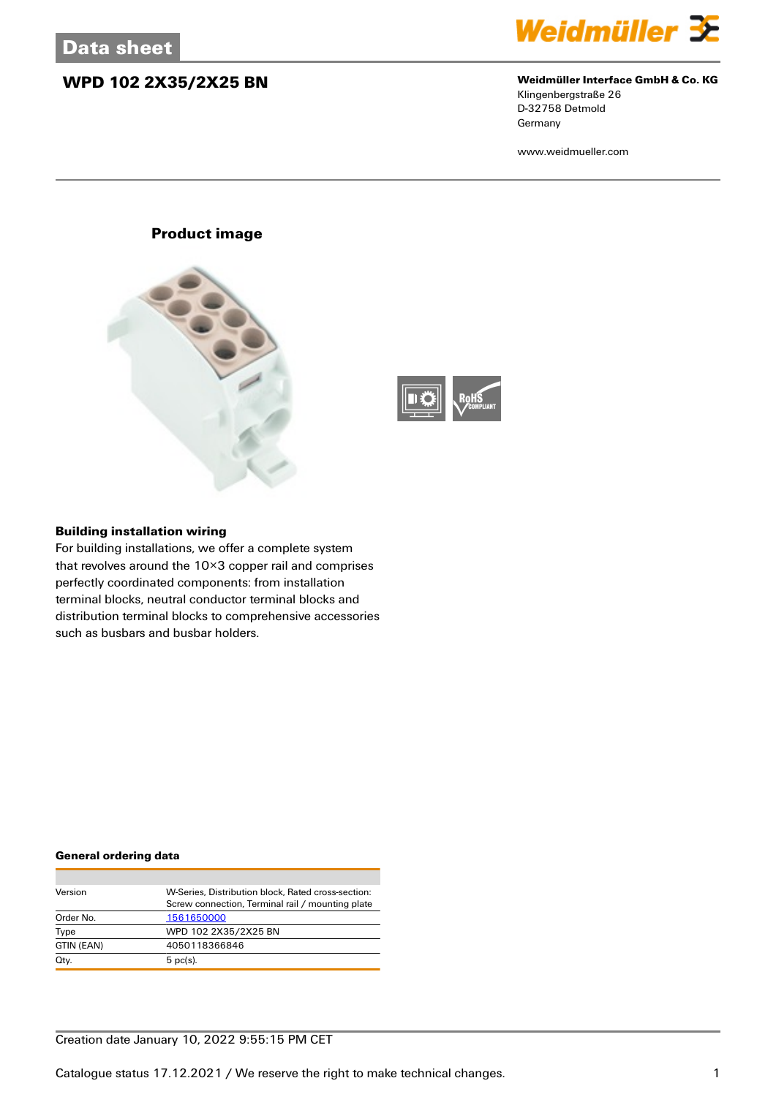## **WPD 102 2X35/2X25 BN Weidmüller Interface GmbH & Co. KG**



Klingenbergstraße 26 D-32758 Detmold Germany

www.weidmueller.com

### **Product image**





#### **Building installation wiring**

For building installations, we offer a complete system that revolves around the 10×3 copper rail and comprises perfectly coordinated components: from installation terminal blocks, neutral conductor terminal blocks and distribution terminal blocks to comprehensive accessories such as busbars and busbar holders.

#### **General ordering data**

| Version    | W-Series, Distribution block, Rated cross-section: |
|------------|----------------------------------------------------|
|            | Screw connection, Terminal rail / mounting plate   |
| Order No.  | 1561650000                                         |
| Type       | WPD 102 2X35/2X25 BN                               |
| GTIN (EAN) | 4050118366846                                      |
| Qty.       | $5$ pc(s).                                         |

### Creation date January 10, 2022 9:55:15 PM CET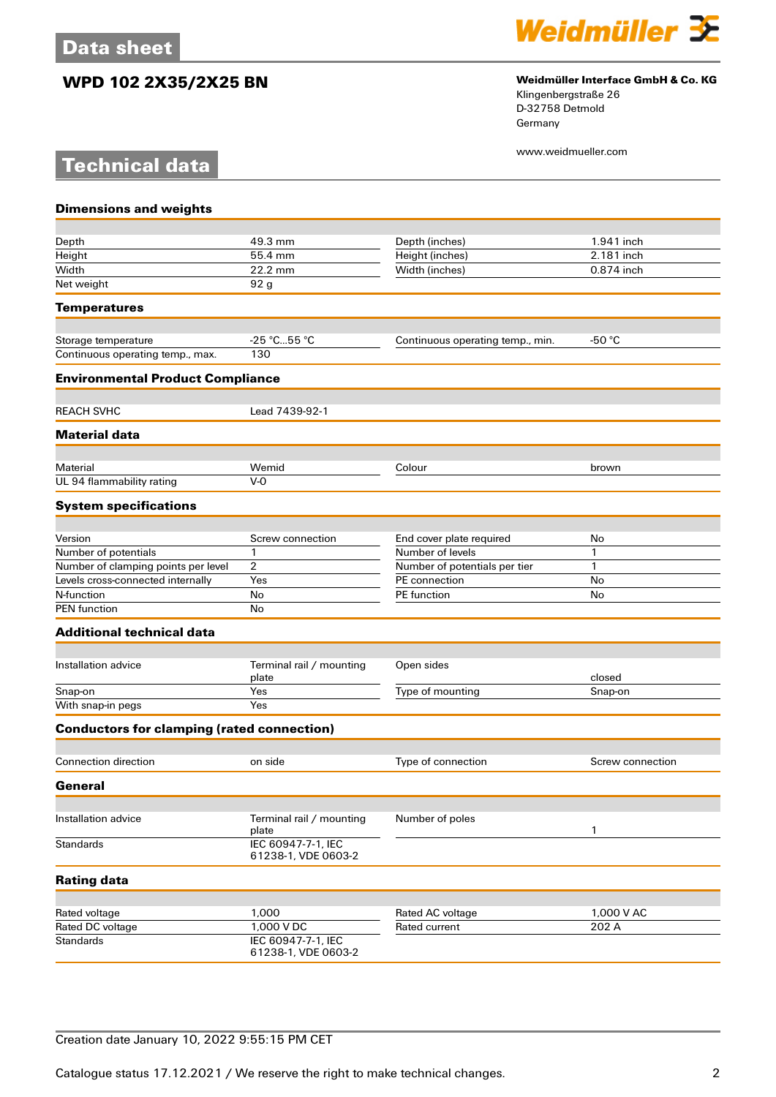**Technical data**

## **WPD 102 2X35/2X25 BN Weidmüller Interface GmbH & Co. KG**



Klingenbergstraße 26 D-32758 Detmold Germany

www.weidmueller.com

| <b>Dimensions and weights</b>                     |                                           |                                   |                  |
|---------------------------------------------------|-------------------------------------------|-----------------------------------|------------------|
|                                                   |                                           |                                   |                  |
| Depth                                             | 49.3 mm                                   | Depth (inches)                    | 1.941 inch       |
| Height                                            | 55.4 mm                                   | Height (inches)                   | 2.181 inch       |
| Width                                             | 22.2 mm                                   | Width (inches)                    | 0.874 inch       |
| Net weight                                        | 92 <sub>g</sub>                           |                                   |                  |
| <b>Temperatures</b>                               |                                           |                                   |                  |
| Storage temperature                               | $-25 °C55 °C$                             | Continuous operating temp., min.  | -50 $^{\circ}$ C |
| Continuous operating temp., max.                  | 130                                       |                                   |                  |
| <b>Environmental Product Compliance</b>           |                                           |                                   |                  |
|                                                   |                                           |                                   |                  |
| <b>REACH SVHC</b>                                 | Lead 7439-92-1                            |                                   |                  |
| <b>Material data</b>                              |                                           |                                   |                  |
| Material                                          | Wemid                                     | Colour                            | brown            |
| UL 94 flammability rating                         | $V-0$                                     |                                   |                  |
| <b>System specifications</b>                      |                                           |                                   |                  |
|                                                   |                                           |                                   |                  |
| Version                                           | Screw connection                          | End cover plate required          | No               |
| Number of potentials                              | 1                                         | Number of levels                  | 1                |
| Number of clamping points per level               | 2                                         | Number of potentials per tier     | 1                |
| Levels cross-connected internally                 | Yes                                       | PE connection                     | No               |
| N-function<br><b>PEN</b> function                 | No<br>No                                  | PE function                       | No               |
| <b>Additional technical data</b>                  |                                           |                                   |                  |
|                                                   |                                           |                                   |                  |
| Installation advice                               | Terminal rail / mounting<br>plate         | Open sides                        | closed           |
| Snap-on                                           | Yes                                       | Type of mounting                  | Snap-on          |
| With snap-in pegs                                 | Yes                                       |                                   |                  |
| <b>Conductors for clamping (rated connection)</b> |                                           |                                   |                  |
| <b>Connection direction</b>                       | on side                                   | Type of connection                | Screw connection |
| General                                           |                                           |                                   |                  |
|                                                   |                                           |                                   |                  |
| Installation advice                               | Terminal rail / mounting<br>plate         | Number of poles                   | 1                |
| <b>Standards</b>                                  | IEC 60947-7-1, IEC<br>61238-1, VDE 0603-2 |                                   |                  |
| <b>Rating data</b>                                |                                           |                                   |                  |
| Rated voltage                                     | 1,000                                     |                                   | 1,000 V AC       |
| Rated DC voltage                                  | 1,000 V DC                                | Rated AC voltage<br>Rated current | 202 A            |
| <b>Standards</b>                                  | IEC 60947-7-1, IEC                        |                                   |                  |
|                                                   | 61238-1, VDE 0603-2                       |                                   |                  |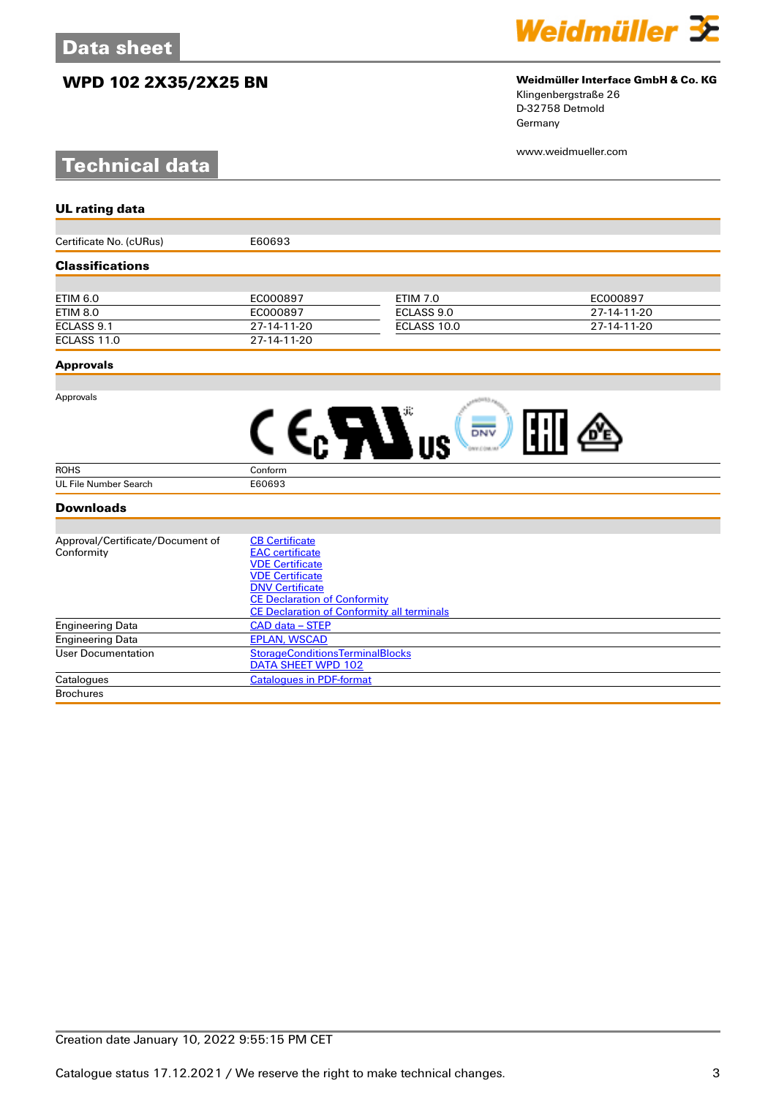## **WPD 102 2X35/2X25 BN Weidmüller Interface GmbH & Co. KG**

# **Technical data**



# Klingenbergstraße 26

D-32758 Detmold Germany

www.weidmueller.com

| <b>UL rating data</b>            |                                                               |                 |             |  |
|----------------------------------|---------------------------------------------------------------|-----------------|-------------|--|
|                                  |                                                               |                 |             |  |
| Certificate No. (cURus)          | E60693                                                        |                 |             |  |
| <b>Classifications</b>           |                                                               |                 |             |  |
|                                  |                                                               |                 |             |  |
| <b>ETIM 6.0</b>                  | EC000897                                                      | <b>ETIM 7.0</b> | EC000897    |  |
| <b>ETIM 8.0</b>                  | EC000897                                                      | ECLASS 9.0      | 27-14-11-20 |  |
| ECLASS 9.1                       | 27-14-11-20                                                   | ECLASS 10.0     | 27-14-11-20 |  |
| ECLASS 11.0                      | 27-14-11-20                                                   |                 |             |  |
| <b>Approvals</b>                 |                                                               |                 |             |  |
|                                  |                                                               |                 |             |  |
| Approvals                        |                                                               |                 |             |  |
|                                  |                                                               | DNV             |             |  |
|                                  |                                                               |                 |             |  |
| <b>ROHS</b>                      | Conform                                                       |                 |             |  |
| <b>UL File Number Search</b>     | E60693                                                        |                 |             |  |
| <b>Downloads</b>                 |                                                               |                 |             |  |
|                                  |                                                               |                 |             |  |
| Approval/Certificate/Document of | <b>CB Certificate</b>                                         |                 |             |  |
| Conformity                       | <b>EAC</b> certificate                                        |                 |             |  |
|                                  | <b>VDE Certificate</b>                                        |                 |             |  |
|                                  | <b>VDE Certificate</b>                                        |                 |             |  |
|                                  | <b>DNV Certificate</b><br><b>CE Declaration of Conformity</b> |                 |             |  |
|                                  | <b>CE Declaration of Conformity all terminals</b>             |                 |             |  |
| <b>Engineering Data</b>          | <b>CAD data - STEP</b>                                        |                 |             |  |
| <b>Engineering Data</b>          | <b>EPLAN, WSCAD</b>                                           |                 |             |  |
| <b>User Documentation</b>        | <b>StorageConditionsTerminalBlocks</b>                        |                 |             |  |
|                                  | DATA SHEET WPD 102                                            |                 |             |  |

Catalogues Catalogues [Catalogues in PDF-format](http://catalog.weidmueller.com/assets/LINK/Catalog.html)

**Brochures**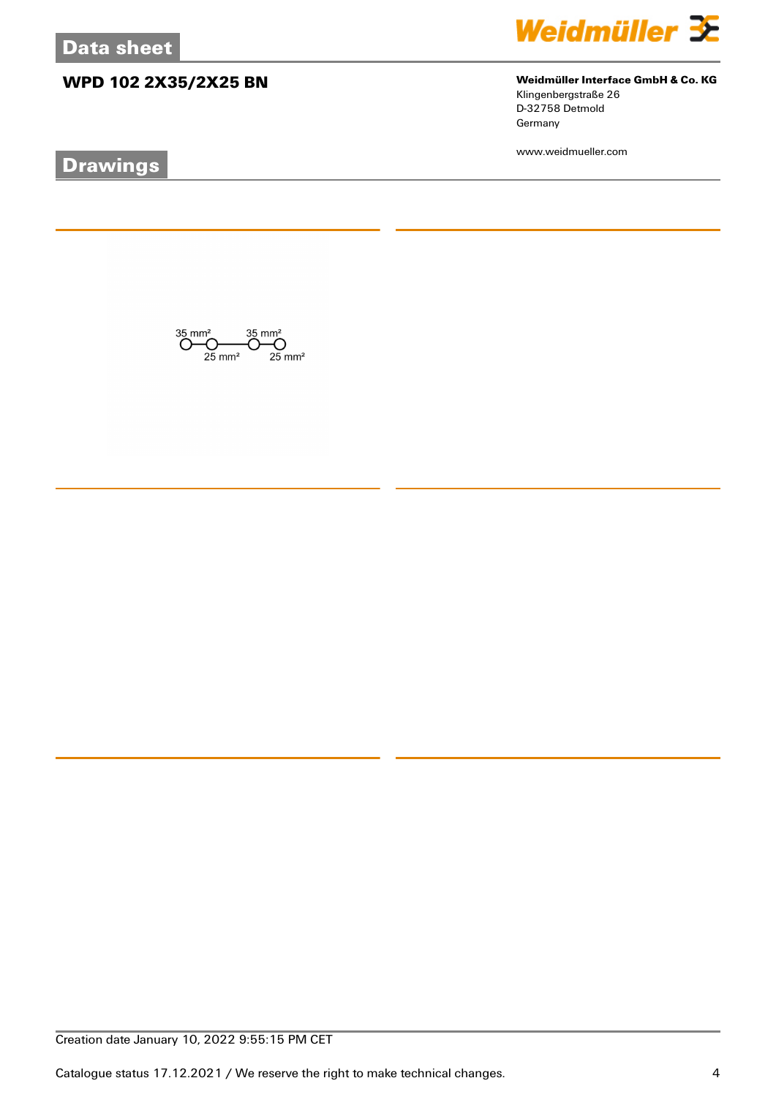# **WPD 102 2X35/2X25 BN Weidmüller Interface GmbH & Co. KG**

# **Drawings**



Klingenbergstraße 26 D-32758 Detmold Germany

www.weidmueller.com

 $\bigodot \hspace{-0.5em}\begin{array}{c}\hspace{-0.5em}35 \hspace{-0.5em}\mod\hspace{-0.2em} 35 \hspace{-0.5em}\mod\hspace{-0.2em} 35\,mm^2\\ \hspace{-0.5em}\bigodot \hspace{-0.5em}\bigodot \hspace{-0.5em}\bigodot \hspace{-0.5em}\bigodot \hspace{-0.5em}\bigodot \hspace{-0.5em}\mod\hspace{-0.2em} 35 \hspace{-0.5em}\mod\hspace{-0.2em} 35\,mm^2\\ \hspace{-0.5em}\text{25 mm}^2 \hspace{-0.5em}\mod\hspace{-$ 

Catalogue status 17.12.2021 / We reserve the right to make technical changes. 4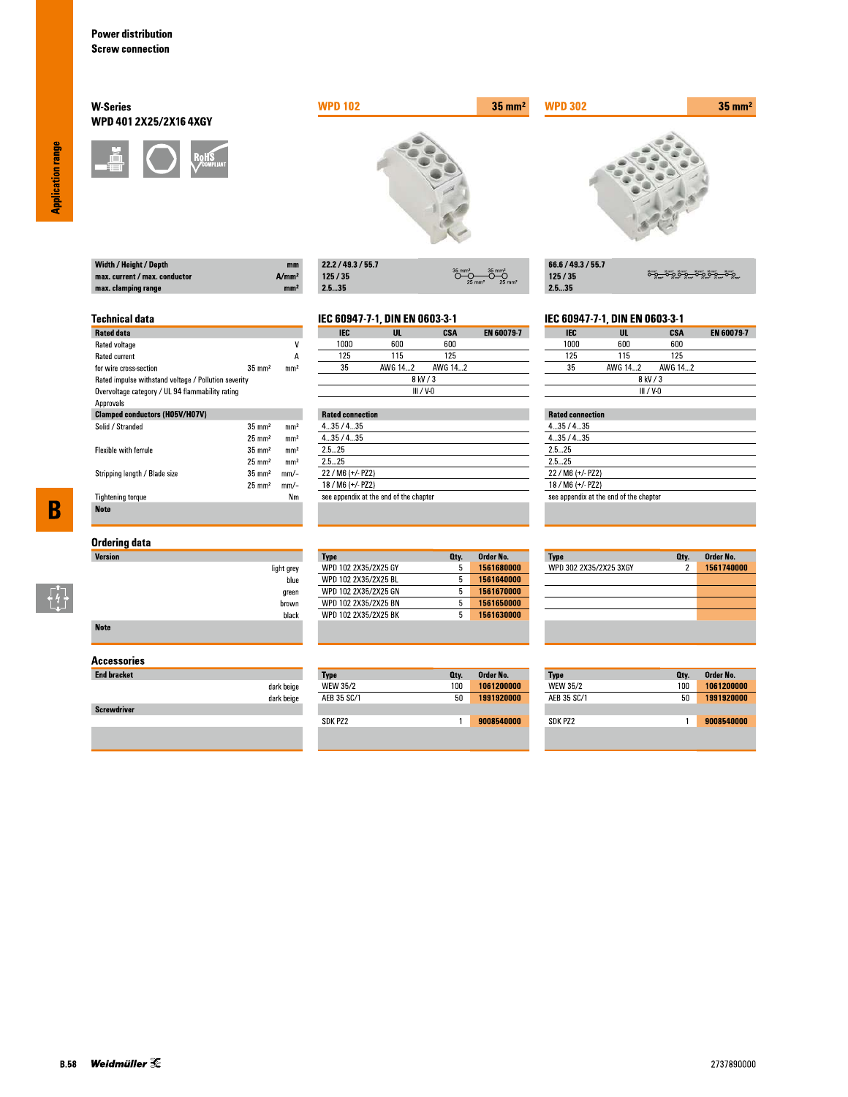Width / Height / Depth max. current / max. conductor

max. clamping range

**Technical data** 

for wire cross-section

Rated data Rated voltage

Rated current

Approvals

Solid / Stranded

Flexible with ferrule

**Tightening torque** 

**Note** 

Stripping length / Blade size

### **W-Series** WPD 401 2X25/2X16 4XGY



Rated impulse withstand voltage / Pollution severity Overvoltage category / UL 94 flammability rating

**Clamped conductors (H05V/H07V)** 



| 22.2 / 49.3 / 55.7 |                                                                   |
|--------------------|-------------------------------------------------------------------|
| 125/35             | $35$ mm <sup>2</sup><br>$25 \text{ mm}^2$<br>$25$ mm <sup>2</sup> |
| -- --              |                                                                   |

# IEC 60947-7-1, DIN EN 0603-3-1

 $A/mm<sup>2</sup>$ 

mm<sup>2</sup>

 $\overline{\mathsf{v}}$ 

 $\overline{A}$ 

 $mm<sup>2</sup>$ 

 $\rm mm^2$ 

 $\mathrm{mm}^2$ 

 $mm<sup>2</sup>$ 

 $mm<sup>2</sup>$ 

 $mm/-$ 

 $mm/-$ 

 $Nm$ 

 $35 \text{ mm}^2$ 

 $35\;\mathrm{mm}^2$ 

 $25\;\mathrm{mm}^2$ 

 $35\;\mathrm{mm}^2$ 

 $25 \text{ mm}^2$ 

 $35 \text{ mm}^2$ 

 $25 \text{ mm}^2$ 

| IEC       | UL      | CSA     | <b>EN 60079-7</b> |  |
|-----------|---------|---------|-------------------|--|
| 1000      | 600     | 600     |                   |  |
| 125       | 115     | 125     |                   |  |
| 35        | AWG 142 | AWG 142 |                   |  |
| 8 kV / 3  |         |         |                   |  |
| III / V-N |         |         |                   |  |

|         | <b>Rated connection</b>                |  |  |  |
|---------|----------------------------------------|--|--|--|
| 435/435 |                                        |  |  |  |
| 435/435 |                                        |  |  |  |
| 25 25   |                                        |  |  |  |
| 25 25   |                                        |  |  |  |
|         | 22 / M6 (+/- PZ2)                      |  |  |  |
|         | 18 / M6 (+/- PZ2)                      |  |  |  |
|         | see appendix at the end of the chapter |  |  |  |

 $35 \text{ mm}^2$ 

| 66.6 / 49.3 / 55.7 |                       |
|--------------------|-----------------------|
| 125/35             | <u>ۄٷ؎ٷۄٷ؎ۣٷۄٷ؎</u> ٷ |
| 25.35              |                       |

#### IEC 60947-7-1, DIN EN 0603-3-1

| <b>IEC</b>  | UL      | CSA     | <b>EN 60079-7</b> |
|-------------|---------|---------|-------------------|
| 1000        | 600     | 600     |                   |
| 125         | 115     | 125     |                   |
| 35          | AWG 142 | AWG 142 |                   |
| 8 kV / 3    |         |         |                   |
| $III / V-0$ |         |         |                   |

## **Rated connection**

**WPD 302** 

| 4.35/4.35                              |  |
|----------------------------------------|--|
| 435/435                                |  |
| 2.5 25                                 |  |
| 25 25                                  |  |
| $22 / M6 (+/- PZ2)$                    |  |
| 18 / M6 (+/- PZ2)                      |  |
| see appendix at the end of the chapter |  |
|                                        |  |

# $\overline{\mathbf{B}}$

 $\begin{bmatrix} 7 \\ 4 \\ 1 \end{bmatrix}$ 

## **Ordering data**

| Version     |            |
|-------------|------------|
|             | light grey |
|             | blue       |
|             | green      |
|             | brown      |
|             | black      |
| <b>Note</b> |            |

#### **Accessories**

| <b>End bracket</b> |            |
|--------------------|------------|
|                    | dark beige |
|                    | dark beige |
| <b>Screwdriver</b> |            |
|                    |            |

#### Order No. **Type** Oty. WPD 102 2X35/2X25 GY 1561680000  $5<sup>7</sup>$ 1561640000 WPD 102 2X35/2X25 BL  $5$ WPD 102 2X35/2X25 GN  $5<sub>1</sub>$ 1561670000 WPD 102 2X35/2X25 BN  $5 - 1561650000$ WPD 102 2X35/2X25 BK  $5<sup>7</sup>$ 1561630000

| Type        | Oty. | Order No.  |
|-------------|------|------------|
| WEW 35/2    | 100  | 1061200000 |
| AEB 35 SC/1 | 50   | 1991920000 |
|             |      |            |
| SDK PZ2     |      | 9008540000 |

| <b>Type</b>            | Qty. | Order No.  |
|------------------------|------|------------|
| WPD 302 2X35/2X25 3XGY | 2    | 1561740000 |
|                        |      |            |
|                        |      |            |
|                        |      |            |
|                        |      |            |
|                        |      |            |
|                        |      |            |

| Type            | Qty. | Order No.  |
|-----------------|------|------------|
| <b>WEW 35/2</b> | 100  | 1061200000 |
| AFB 35 SC/1     | 50   | 1991920000 |
|                 |      |            |
| SDK P72         |      | 9008540000 |

**Application range**